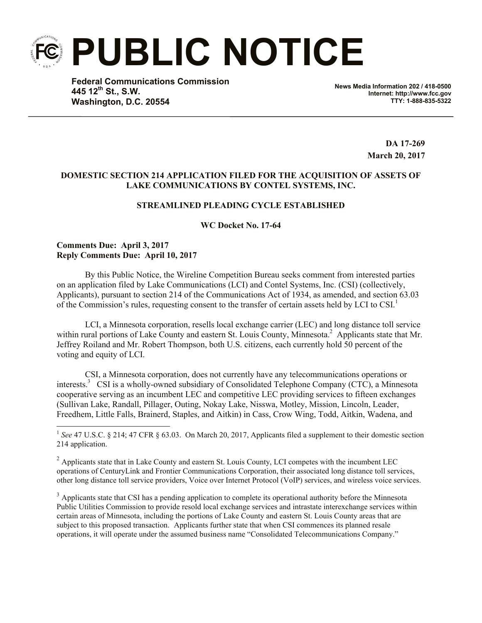**PUBLIC NOTICE**

**Federal Communications Commission 445 12th St., S.W. Washington, D.C. 20554**

**News Media Information 202 / 418-0500 Internet: http://www.fcc.gov TTY: 1-888-835-5322**

> **DA 17-269 March 20, 2017**

## **DOMESTIC SECTION 214 APPLICATION FILED FOR THE ACQUISITION OF ASSETS OF LAKE COMMUNICATIONS BY CONTEL SYSTEMS, INC.**

# **STREAMLINED PLEADING CYCLE ESTABLISHED**

**WC Docket No. 17-64**

### **Comments Due: April 3, 2017 Reply Comments Due: April 10, 2017**

l

By this Public Notice, the Wireline Competition Bureau seeks comment from interested parties on an application filed by Lake Communications (LCI) and Contel Systems, Inc. (CSI) (collectively, Applicants), pursuant to section 214 of the Communications Act of 1934, as amended, and section 63.03 of the Commission's rules, requesting consent to the transfer of certain assets held by LCI to CSI.<sup>1</sup>

LCI, a Minnesota corporation, resells local exchange carrier (LEC) and long distance toll service within rural portions of Lake County and eastern St. Louis County, Minnesota.<sup>2</sup> Applicants state that Mr. Jeffrey Roiland and Mr. Robert Thompson, both U.S. citizens, each currently hold 50 percent of the voting and equity of LCI.

CSI, a Minnesota corporation, does not currently have any telecommunications operations or interests.<sup>3</sup> CSI is a wholly-owned subsidiary of Consolidated Telephone Company (CTC), a Minnesota cooperative serving as an incumbent LEC and competitive LEC providing services to fifteen exchanges (Sullivan Lake, Randall, Pillager, Outing, Nokay Lake, Nisswa, Motley, Mission, Lincoln, Leader, Freedhem, Little Falls, Brainerd, Staples, and Aitkin) in Cass, Crow Wing, Todd, Aitkin, Wadena, and

<sup>3</sup> Applicants state that CSI has a pending application to complete its operational authority before the Minnesota Public Utilities Commission to provide resold local exchange services and intrastate interexchange services within certain areas of Minnesota, including the portions of Lake County and eastern St. Louis County areas that are subject to this proposed transaction. Applicants further state that when CSI commences its planned resale operations, it will operate under the assumed business name "Consolidated Telecommunications Company."

<sup>&</sup>lt;sup>1</sup> See 47 U.S.C. § 214; 47 CFR § 63.03. On March 20, 2017, Applicants filed a supplement to their domestic section 214 application.

<sup>&</sup>lt;sup>2</sup> Applicants state that in Lake County and eastern St. Louis County, LCI competes with the incumbent LEC operations of CenturyLink and Frontier Communications Corporation, their associated long distance toll services, other long distance toll service providers, Voice over Internet Protocol (VoIP) services, and wireless voice services.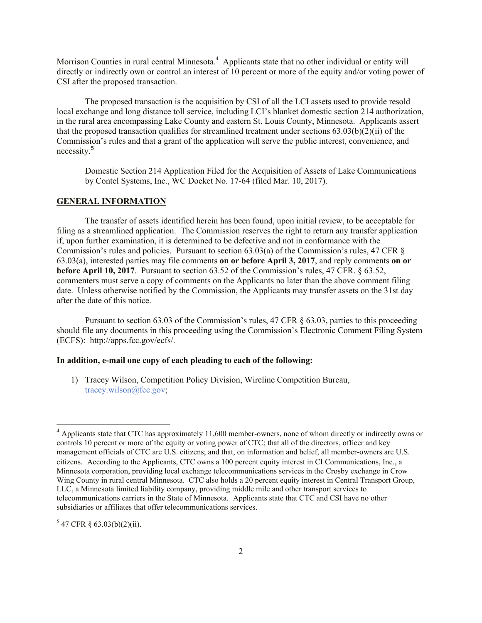Morrison Counties in rural central Minnesota.<sup>4</sup> Applicants state that no other individual or entity will directly or indirectly own or control an interest of 10 percent or more of the equity and/or voting power of CSI after the proposed transaction.

The proposed transaction is the acquisition by CSI of all the LCI assets used to provide resold local exchange and long distance toll service, including LCI's blanket domestic section 214 authorization, in the rural area encompassing Lake County and eastern St. Louis County, Minnesota. Applicants assert that the proposed transaction qualifies for streamlined treatment under sections 63.03(b)(2)(ii) of the Commission's rules and that a grant of the application will serve the public interest, convenience, and necessity.<sup>5</sup>

Domestic Section 214 Application Filed for the Acquisition of Assets of Lake Communications by Contel Systems, Inc., WC Docket No. 17-64 (filed Mar. 10, 2017).

#### **GENERAL INFORMATION**

The transfer of assets identified herein has been found, upon initial review, to be acceptable for filing as a streamlined application. The Commission reserves the right to return any transfer application if, upon further examination, it is determined to be defective and not in conformance with the Commission's rules and policies. Pursuant to section 63.03(a) of the Commission's rules, 47 CFR § 63.03(a), interested parties may file comments **on or before April 3, 2017**, and reply comments **on or before April 10, 2017**. Pursuant to section 63.52 of the Commission's rules, 47 CFR. § 63.52, commenters must serve a copy of comments on the Applicants no later than the above comment filing date. Unless otherwise notified by the Commission, the Applicants may transfer assets on the 31st day after the date of this notice.

Pursuant to section 63.03 of the Commission's rules, 47 CFR § 63.03, parties to this proceeding should file any documents in this proceeding using the Commission's Electronic Comment Filing System (ECFS): http://apps.fcc.gov/ecfs/.

### **In addition, e-mail one copy of each pleading to each of the following:**

1) Tracey Wilson, Competition Policy Division, Wireline Competition Bureau, tracey.wilson@fcc.gov;

 $547$  CFR § 63.03(b)(2)(ii).

l

 $4$  Applicants state that CTC has approximately 11,600 member-owners, none of whom directly or indirectly owns or controls 10 percent or more of the equity or voting power of CTC; that all of the directors, officer and key management officials of CTC are U.S. citizens; and that, on information and belief, all member-owners are U.S. citizens. According to the Applicants, CTC owns a 100 percent equity interest in CI Communications, Inc., a Minnesota corporation, providing local exchange telecommunications services in the Crosby exchange in Crow Wing County in rural central Minnesota. CTC also holds a 20 percent equity interest in Central Transport Group, LLC, a Minnesota limited liability company, providing middle mile and other transport services to telecommunications carriers in the State of Minnesota. Applicants state that CTC and CSI have no other subsidiaries or affiliates that offer telecommunications services.